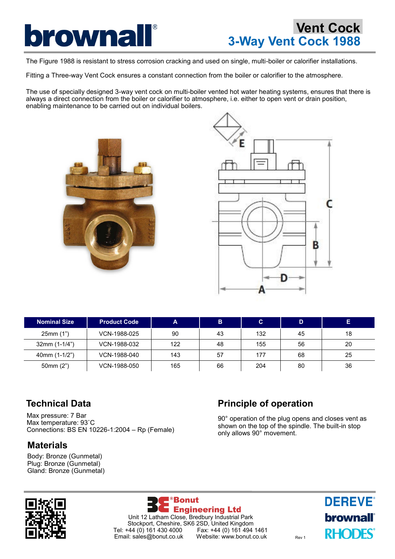

The Figure 1988 is resistant to stress corrosion cracking and used on single, multi-boiler or calorifier installations.

Fitting a Three-way Vent Cock ensures a constant connection from the boiler or calorifier to the atmosphere.

The use of specially designed 3-way vent cock on multi-boiler vented hot water heating systems, ensures that there is always a direct connection from the boiler or calorifier to atmosphere, i.e. either to open vent or drain position, enabling maintenance to be carried out on individual boilers.





| <b>Nominal Size</b> | <b>Product Code</b> | А   | B  | C   |    |    |
|---------------------|---------------------|-----|----|-----|----|----|
| 25mm(1")            | VCN-1988-025        | 90  | 43 | 132 | 45 | 18 |
| $32mm (1-1/4")$     | VCN-1988-032        | 122 | 48 | 155 | 56 | 20 |
| 40mm (1-1/2")       | VCN-1988-040        | 143 | 57 | 177 | 68 | 25 |
| 50mm $(2")$         | VCN-1988-050        | 165 | 66 | 204 | 80 | 36 |

### **Technical Data**

Max pressure: 7 Bar Max temperature: 93˚C Connections: BS EN 10226-1:2004 – Rp (Female)

### **Materials**

Body: Bronze (Gunmetal) Plug: Bronze (Gunmetal) Gland: Bronze (Gunmetal)

# **Principle of operation**

90° operation of the plug opens and closes vent as shown on the top of the spindle. The built-in stop only allows 90° movement.





**DEREVE® brownall RHODES**